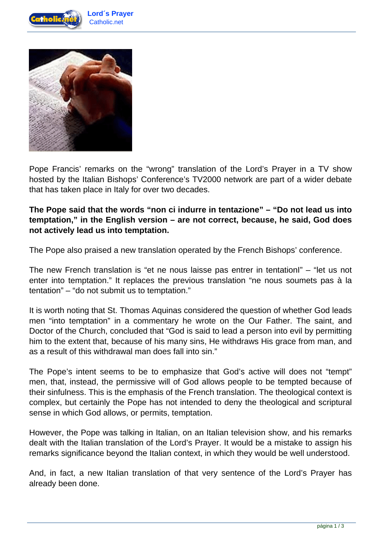



Pope Francis' remarks on the "wrong" translation of the Lord's Prayer in a TV show hosted by the Italian Bishops' Conference's TV2000 network are part of a wider debate that has taken place in Italy for over two decades.

## **The Pope said that the words "non ci indurre in tentazione" – "Do not lead us into temptation," in the English version – are not correct, because, he said, God does not actively lead us into temptation.**

The Pope also praised a new translation operated by the French Bishops' conference.

The new French translation is "et ne nous laisse pas entrer in tentationI" – "let us not enter into temptation." It replaces the previous translation "ne nous soumets pas à la tentation" – "do not submit us to temptation."

It is worth noting that St. Thomas Aquinas considered the question of whether God leads men "into temptation" in a commentary he wrote on the Our Father. The saint, and Doctor of the Church, concluded that "God is said to lead a person into evil by permitting him to the extent that, because of his many sins, He withdraws His grace from man, and as a result of this withdrawal man does fall into sin."

The Pope's intent seems to be to emphasize that God's active will does not "tempt" men, that, instead, the permissive will of God allows people to be tempted because of their sinfulness. This is the emphasis of the French translation. The theological context is complex, but certainly the Pope has not intended to deny the theological and scriptural sense in which God allows, or permits, temptation.

However, the Pope was talking in Italian, on an Italian television show, and his remarks dealt with the Italian translation of the Lord's Prayer. It would be a mistake to assign his remarks significance beyond the Italian context, in which they would be well understood.

And, in fact, a new Italian translation of that very sentence of the Lord's Prayer has already been done.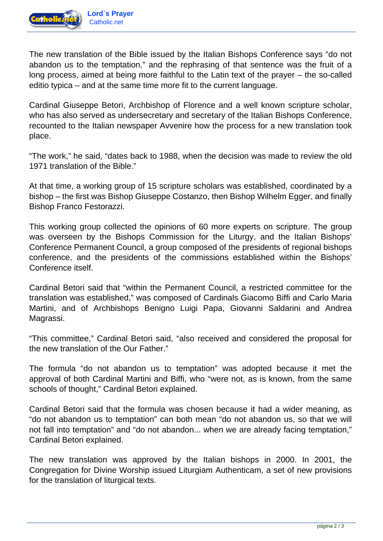

The new translation of the Bible issued by the Italian Bishops Conference says "do not abandon us to the temptation," and the rephrasing of that sentence was the fruit of a long process, aimed at being more faithful to the Latin text of the prayer – the so-called editio typica – and at the same time more fit to the current language.

Cardinal Giuseppe Betori, Archbishop of Florence and a well known scripture scholar, who has also served as undersecretary and secretary of the Italian Bishops Conference, recounted to the Italian newspaper Avvenire how the process for a new translation took place.

"The work," he said, "dates back to 1988, when the decision was made to review the old 1971 translation of the Bible."

At that time, a working group of 15 scripture scholars was established, coordinated by a bishop – the first was Bishop Giuseppe Costanzo, then Bishop Wilhelm Egger, and finally Bishop Franco Festorazzi.

This working group collected the opinions of 60 more experts on scripture. The group was overseen by the Bishops Commission for the Liturgy, and the Italian Bishops' Conference Permanent Council, a group composed of the presidents of regional bishops conference, and the presidents of the commissions established within the Bishops' Conference itself.

Cardinal Betori said that "within the Permanent Council, a restricted committee for the translation was established," was composed of Cardinals Giacomo Biffi and Carlo Maria Martini, and of Archbishops Benigno Luigi Papa, Giovanni Saldarini and Andrea Magrassi.

"This committee," Cardinal Betori said, "also received and considered the proposal for the new translation of the Our Father."

The formula "do not abandon us to temptation" was adopted because it met the approval of both Cardinal Martini and Biffi, who "were not, as is known, from the same schools of thought," Cardinal Betori explained.

Cardinal Betori said that the formula was chosen because it had a wider meaning, as "do not abandon us to temptation" can both mean "do not abandon us, so that we will not fall into temptation" and "do not abandon... when we are already facing temptation," Cardinal Betori explained.

The new translation was approved by the Italian bishops in 2000. In 2001, the Congregation for Divine Worship issued Liturgiam Authenticam, a set of new provisions for the translation of liturgical texts.